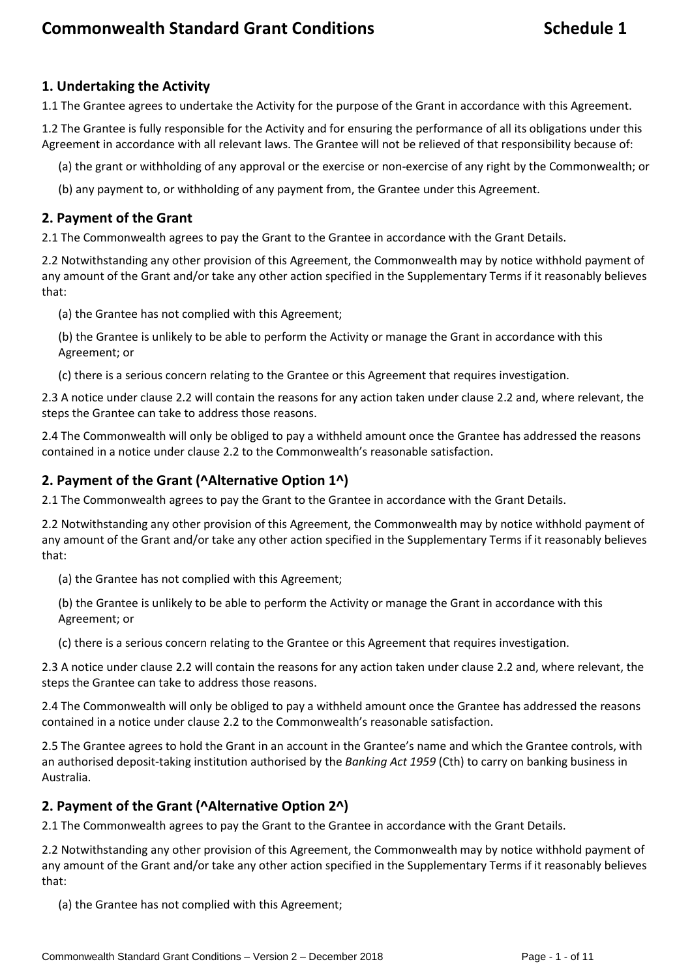## **1. Undertaking the Activity**

1.1 The Grantee agrees to undertake the Activity for the purpose of the Grant in accordance with this Agreement.

1.2 The Grantee is fully responsible for the Activity and for ensuring the performance of all its obligations under this Agreement in accordance with all relevant laws. The Grantee will not be relieved of that responsibility because of:

(a) the grant or withholding of any approval or the exercise or non-exercise of any right by the Commonwealth; or

(b) any payment to, or withholding of any payment from, the Grantee under this Agreement.

#### **2. Payment of the Grant**

2.1 The Commonwealth agrees to pay the Grant to the Grantee in accordance with the Grant Details.

2.2 Notwithstanding any other provision of this Agreement, the Commonwealth may by notice withhold payment of any amount of the Grant and/or take any other action specified in the Supplementary Terms if it reasonably believes that:

(a) the Grantee has not complied with this Agreement;

(b) the Grantee is unlikely to be able to perform the Activity or manage the Grant in accordance with this Agreement; or

(c) there is a serious concern relating to the Grantee or this Agreement that requires investigation.

2.3 A notice under clause 2.2 will contain the reasons for any action taken under clause 2.2 and, where relevant, the steps the Grantee can take to address those reasons.

2.4 The Commonwealth will only be obliged to pay a withheld amount once the Grantee has addressed the reasons contained in a notice under clause 2.2 to the Commonwealth's reasonable satisfaction.

#### **2. Payment of the Grant (^Alternative Option 1^)**

2.1 The Commonwealth agrees to pay the Grant to the Grantee in accordance with the Grant Details.

2.2 Notwithstanding any other provision of this Agreement, the Commonwealth may by notice withhold payment of any amount of the Grant and/or take any other action specified in the Supplementary Terms if it reasonably believes that:

(a) the Grantee has not complied with this Agreement;

(b) the Grantee is unlikely to be able to perform the Activity or manage the Grant in accordance with this Agreement; or

(c) there is a serious concern relating to the Grantee or this Agreement that requires investigation.

2.3 A notice under clause 2.2 will contain the reasons for any action taken under clause 2.2 and, where relevant, the steps the Grantee can take to address those reasons.

2.4 The Commonwealth will only be obliged to pay a withheld amount once the Grantee has addressed the reasons contained in a notice under clause 2.2 to the Commonwealth's reasonable satisfaction.

2.5 The Grantee agrees to hold the Grant in an account in the Grantee's name and which the Grantee controls, with an authorised deposit-taking institution authorised by the *Banking Act 1959* (Cth) to carry on banking business in Australia.

#### **2. Payment of the Grant (^Alternative Option 2^)**

2.1 The Commonwealth agrees to pay the Grant to the Grantee in accordance with the Grant Details.

2.2 Notwithstanding any other provision of this Agreement, the Commonwealth may by notice withhold payment of any amount of the Grant and/or take any other action specified in the Supplementary Terms if it reasonably believes that:

(a) the Grantee has not complied with this Agreement;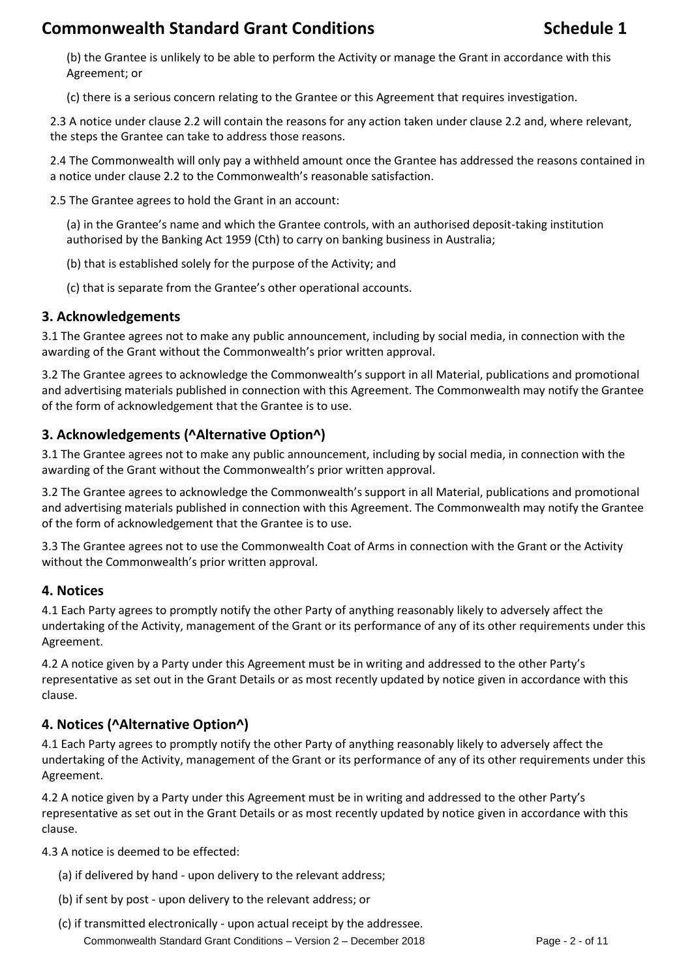(b) the Grantee is unlikely to be able to perform the Activity or manage the Grant in accordance with this Agreement; or

(c) there is a serious concern relating to the Grantee or this Agreement that requires investigation.

2.3 A notice under clause 2.2 will contain the reasons for any action taken under clause 2.2 and, where relevant, the steps the Grantee can take to address those reasons.

2.4 The Commonwealth will only pay a withheld amount once the Grantee has addressed the reasons contained in a notice under clause 2.2 to the Commonwealth's reasonable satisfaction.

2.5 The Grantee agrees to hold the Grant in an account:

(a) in the Grantee's name and which the Grantee controls, with an authorised deposit-taking institution authorised by the Banking Act 1959 (Cth) to carry on banking business in Australia;

(b) that is established solely for the purpose of the Activity; and

(c) that is separate from the Grantee's other operational accounts.

#### **3. Acknowledgements**

3.1 The Grantee agrees not to make any public announcement, including by social media, in connection with the awarding of the Grant without the Commonwealth's prior written approval.

3.2 The Grantee agrees to acknowledge the Commonwealth's support in all Material, publications and promotional and advertising materials published in connection with this Agreement. The Commonwealth may notify the Grantee of the form of acknowledgement that the Grantee is to use.

## **3. Acknowledgements (^Alternative Option^)**

3.1 The Grantee agrees not to make any public announcement, including by social media, in connection with the awarding of the Grant without the Commonwealth's prior written approval.

3.2 The Grantee agrees to acknowledge the Commonwealth's support in all Material, publications and promotional and advertising materials published in connection with this Agreement. The Commonwealth may notify the Grantee of the form of acknowledgement that the Grantee is to use.

3.3 The Grantee agrees not to use the Commonwealth Coat of Arms in connection with the Grant or the Activity without the Commonwealth's prior written approval.

#### **4. Notices**

4.1 Each Party agrees to promptly notify the other Party of anything reasonably likely to adversely affect the undertaking of the Activity, management of the Grant or its performance of any of its other requirements under this Agreement.

4.2 A notice given by a Party under this Agreement must be in writing and addressed to the other Party's representative as set out in the Grant Details or as most recently updated by notice given in accordance with this clause.

## **4. Notices (^Alternative Option^)**

4.1 Each Party agrees to promptly notify the other Party of anything reasonably likely to adversely affect the undertaking of the Activity, management of the Grant or its performance of any of its other requirements under this Agreement.

4.2 A notice given by a Party under this Agreement must be in writing and addressed to the other Party's representative as set out in the Grant Details or as most recently updated by notice given in accordance with this clause.

4.3 A notice is deemed to be effected:

- (a) if delivered by hand upon delivery to the relevant address;
- (b) if sent by post upon delivery to the relevant address; or
- Commonwealth Standard Grant Conditions Version 2 December 2018 Page 2 of 11 (c) if transmitted electronically - upon actual receipt by the addressee.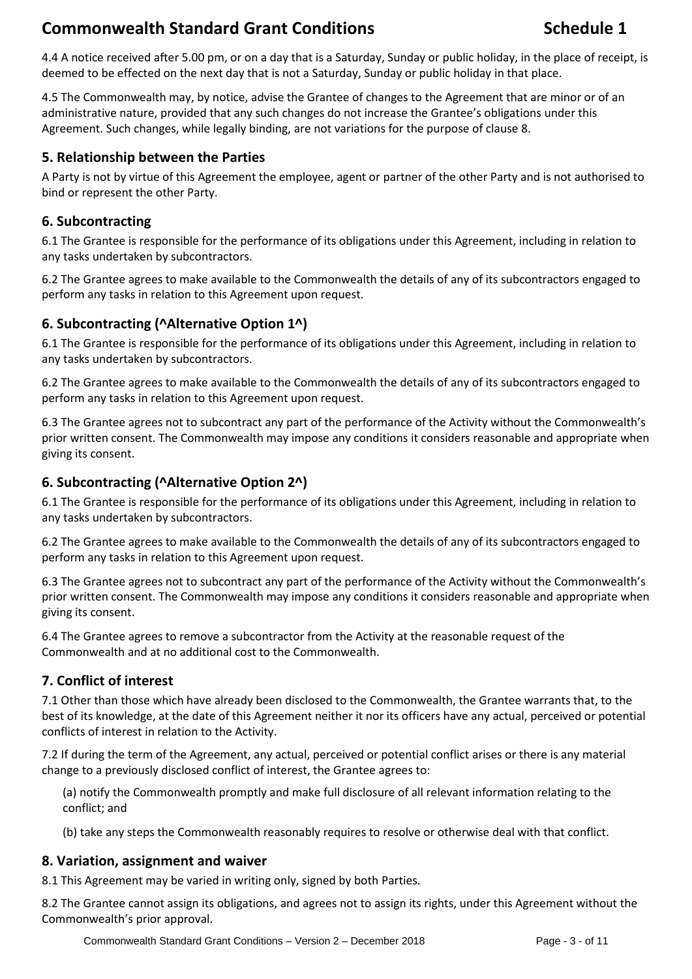4.4 A notice received after 5.00 pm, or on a day that is a Saturday, Sunday or public holiday, in the place of receipt, is deemed to be effected on the next day that is not a Saturday, Sunday or public holiday in that place.

4.5 The Commonwealth may, by notice, advise the Grantee of changes to the Agreement that are minor or of an administrative nature, provided that any such changes do not increase the Grantee's obligations under this Agreement. Such changes, while legally binding, are not variations for the purpose of clause 8.

#### **5. Relationship between the Parties**

A Party is not by virtue of this Agreement the employee, agent or partner of the other Party and is not authorised to bind or represent the other Party.

### **6. Subcontracting**

6.1 The Grantee is responsible for the performance of its obligations under this Agreement, including in relation to any tasks undertaken by subcontractors.

6.2 The Grantee agrees to make available to the Commonwealth the details of any of its subcontractors engaged to perform any tasks in relation to this Agreement upon request.

## **6. Subcontracting (^Alternative Option 1^)**

6.1 The Grantee is responsible for the performance of its obligations under this Agreement, including in relation to any tasks undertaken by subcontractors.

6.2 The Grantee agrees to make available to the Commonwealth the details of any of its subcontractors engaged to perform any tasks in relation to this Agreement upon request.

6.3 The Grantee agrees not to subcontract any part of the performance of the Activity without the Commonwealth's prior written consent. The Commonwealth may impose any conditions it considers reasonable and appropriate when giving its consent.

### **6. Subcontracting (^Alternative Option 2^)**

6.1 The Grantee is responsible for the performance of its obligations under this Agreement, including in relation to any tasks undertaken by subcontractors.

6.2 The Grantee agrees to make available to the Commonwealth the details of any of its subcontractors engaged to perform any tasks in relation to this Agreement upon request.

6.3 The Grantee agrees not to subcontract any part of the performance of the Activity without the Commonwealth's prior written consent. The Commonwealth may impose any conditions it considers reasonable and appropriate when giving its consent.

6.4 The Grantee agrees to remove a subcontractor from the Activity at the reasonable request of the Commonwealth and at no additional cost to the Commonwealth.

## **7. Conflict of interest**

7.1 Other than those which have already been disclosed to the Commonwealth, the Grantee warrants that, to the best of its knowledge, at the date of this Agreement neither it nor its officers have any actual, perceived or potential conflicts of interest in relation to the Activity.

7.2 If during the term of the Agreement, any actual, perceived or potential conflict arises or there is any material change to a previously disclosed conflict of interest, the Grantee agrees to:

(a) notify the Commonwealth promptly and make full disclosure of all relevant information relating to the conflict; and

(b) take any steps the Commonwealth reasonably requires to resolve or otherwise deal with that conflict.

#### **8. Variation, assignment and waiver**

8.1 This Agreement may be varied in writing only, signed by both Parties.

8.2 The Grantee cannot assign its obligations, and agrees not to assign its rights, under this Agreement without the Commonwealth's prior approval.

Commonwealth Standard Grant Conditions – Version 2 – December 2018 Page - 3 - of 11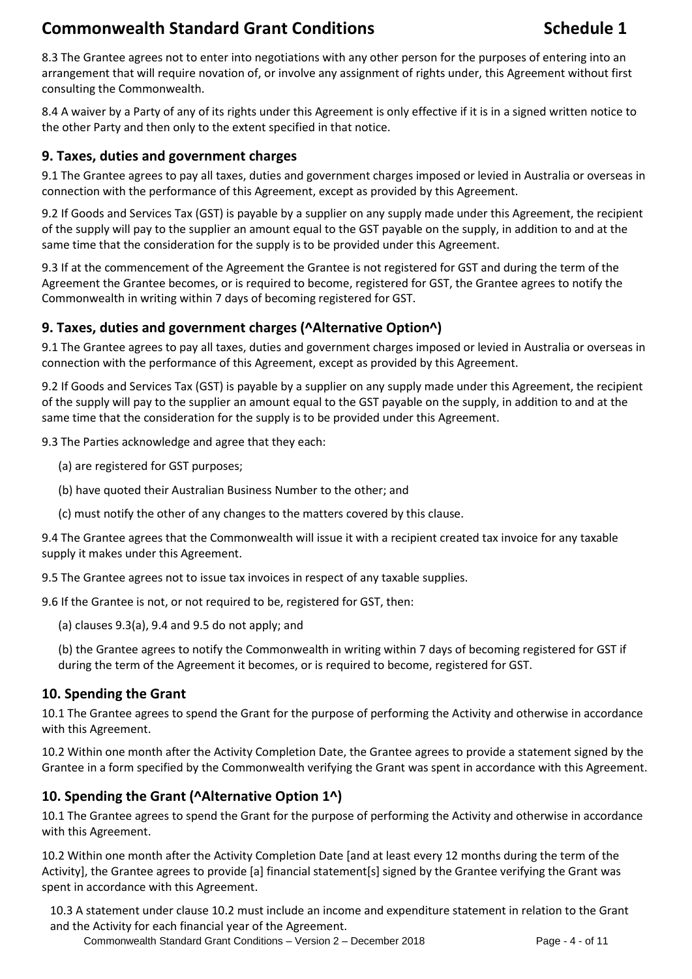8.3 The Grantee agrees not to enter into negotiations with any other person for the purposes of entering into an arrangement that will require novation of, or involve any assignment of rights under, this Agreement without first consulting the Commonwealth.

8.4 A waiver by a Party of any of its rights under this Agreement is only effective if it is in a signed written notice to the other Party and then only to the extent specified in that notice.

### **9. Taxes, duties and government charges**

9.1 The Grantee agrees to pay all taxes, duties and government charges imposed or levied in Australia or overseas in connection with the performance of this Agreement, except as provided by this Agreement.

9.2 If Goods and Services Tax (GST) is payable by a supplier on any supply made under this Agreement, the recipient of the supply will pay to the supplier an amount equal to the GST payable on the supply, in addition to and at the same time that the consideration for the supply is to be provided under this Agreement.

9.3 If at the commencement of the Agreement the Grantee is not registered for GST and during the term of the Agreement the Grantee becomes, or is required to become, registered for GST, the Grantee agrees to notify the Commonwealth in writing within 7 days of becoming registered for GST.

### **9. Taxes, duties and government charges (^Alternative Option^)**

9.1 The Grantee agrees to pay all taxes, duties and government charges imposed or levied in Australia or overseas in connection with the performance of this Agreement, except as provided by this Agreement.

9.2 If Goods and Services Tax (GST) is payable by a supplier on any supply made under this Agreement, the recipient of the supply will pay to the supplier an amount equal to the GST payable on the supply, in addition to and at the same time that the consideration for the supply is to be provided under this Agreement.

9.3 The Parties acknowledge and agree that they each:

- (a) are registered for GST purposes;
- (b) have quoted their Australian Business Number to the other; and
- (c) must notify the other of any changes to the matters covered by this clause.

9.4 The Grantee agrees that the Commonwealth will issue it with a recipient created tax invoice for any taxable supply it makes under this Agreement.

9.5 The Grantee agrees not to issue tax invoices in respect of any taxable supplies.

9.6 If the Grantee is not, or not required to be, registered for GST, then:

(a) clauses 9.3(a), 9.4 and 9.5 do not apply; and

(b) the Grantee agrees to notify the Commonwealth in writing within 7 days of becoming registered for GST if during the term of the Agreement it becomes, or is required to become, registered for GST.

#### **10. Spending the Grant**

10.1 The Grantee agrees to spend the Grant for the purpose of performing the Activity and otherwise in accordance with this Agreement.

10.2 Within one month after the Activity Completion Date, the Grantee agrees to provide a statement signed by the Grantee in a form specified by the Commonwealth verifying the Grant was spent in accordance with this Agreement.

#### **10. Spending the Grant (^Alternative Option 1^)**

10.1 The Grantee agrees to spend the Grant for the purpose of performing the Activity and otherwise in accordance with this Agreement.

10.2 Within one month after the Activity Completion Date [and at least every 12 months during the term of the Activity], the Grantee agrees to provide [a] financial statement[s] signed by the Grantee verifying the Grant was spent in accordance with this Agreement.

10.3 A statement under clause 10.2 must include an income and expenditure statement in relation to the Grant and the Activity for each financial year of the Agreement.

Commonwealth Standard Grant Conditions – Version 2 – December 2018 Page - 4 - of 11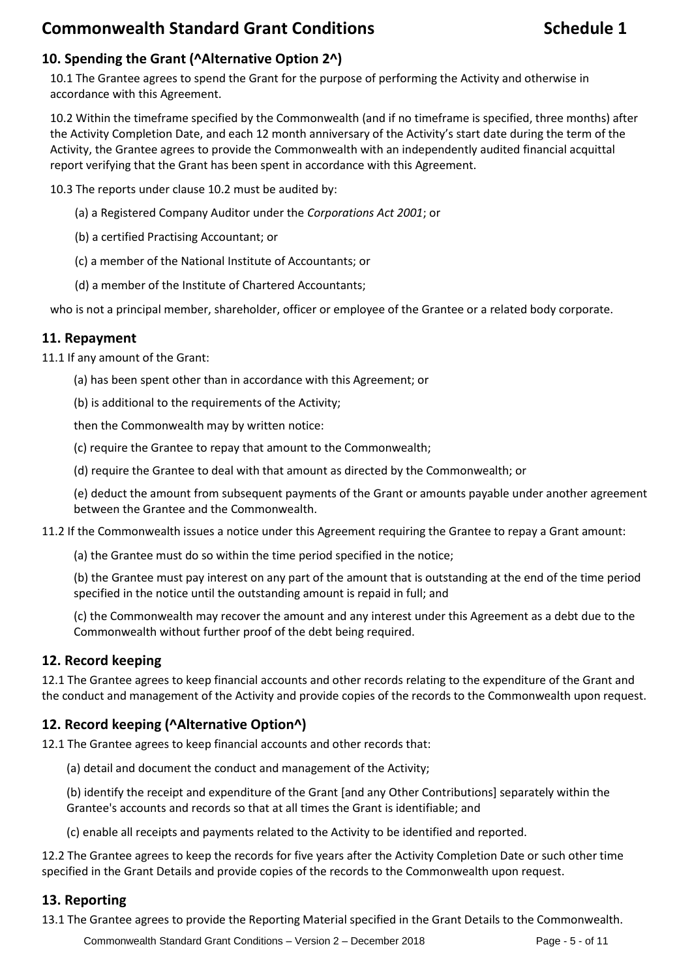## **10. Spending the Grant (^Alternative Option 2^)**

10.1 The Grantee agrees to spend the Grant for the purpose of performing the Activity and otherwise in accordance with this Agreement.

10.2 Within the timeframe specified by the Commonwealth (and if no timeframe is specified, three months) after the Activity Completion Date, and each 12 month anniversary of the Activity's start date during the term of the Activity, the Grantee agrees to provide the Commonwealth with an independently audited financial acquittal report verifying that the Grant has been spent in accordance with this Agreement.

10.3 The reports under clause 10.2 must be audited by:

- (a) a Registered Company Auditor under the *Corporations Act 2001*; or
- (b) a certified Practising Accountant; or
- (c) a member of the National Institute of Accountants; or
- (d) a member of the Institute of Chartered Accountants;

who is not a principal member, shareholder, officer or employee of the Grantee or a related body corporate.

#### **11. Repayment**

11.1 If any amount of the Grant:

(a) has been spent other than in accordance with this Agreement; or

(b) is additional to the requirements of the Activity;

then the Commonwealth may by written notice:

(c) require the Grantee to repay that amount to the Commonwealth;

(d) require the Grantee to deal with that amount as directed by the Commonwealth; or

(e) deduct the amount from subsequent payments of the Grant or amounts payable under another agreement between the Grantee and the Commonwealth.

#### 11.2 If the Commonwealth issues a notice under this Agreement requiring the Grantee to repay a Grant amount:

(a) the Grantee must do so within the time period specified in the notice;

(b) the Grantee must pay interest on any part of the amount that is outstanding at the end of the time period specified in the notice until the outstanding amount is repaid in full; and

(c) the Commonwealth may recover the amount and any interest under this Agreement as a debt due to the Commonwealth without further proof of the debt being required.

#### **12. Record keeping**

12.1 The Grantee agrees to keep financial accounts and other records relating to the expenditure of the Grant and the conduct and management of the Activity and provide copies of the records to the Commonwealth upon request.

## **12. Record keeping (^Alternative Option^)**

12.1 The Grantee agrees to keep financial accounts and other records that:

(a) detail and document the conduct and management of the Activity;

(b) identify the receipt and expenditure of the Grant [and any Other Contributions] separately within the Grantee's accounts and records so that at all times the Grant is identifiable; and

(c) enable all receipts and payments related to the Activity to be identified and reported.

12.2 The Grantee agrees to keep the records for five years after the Activity Completion Date or such other time specified in the Grant Details and provide copies of the records to the Commonwealth upon request.

#### **13. Reporting**

13.1 The Grantee agrees to provide the Reporting Material specified in the Grant Details to the Commonwealth.

Commonwealth Standard Grant Conditions – Version 2 – December 2018 Page - 5 - of 11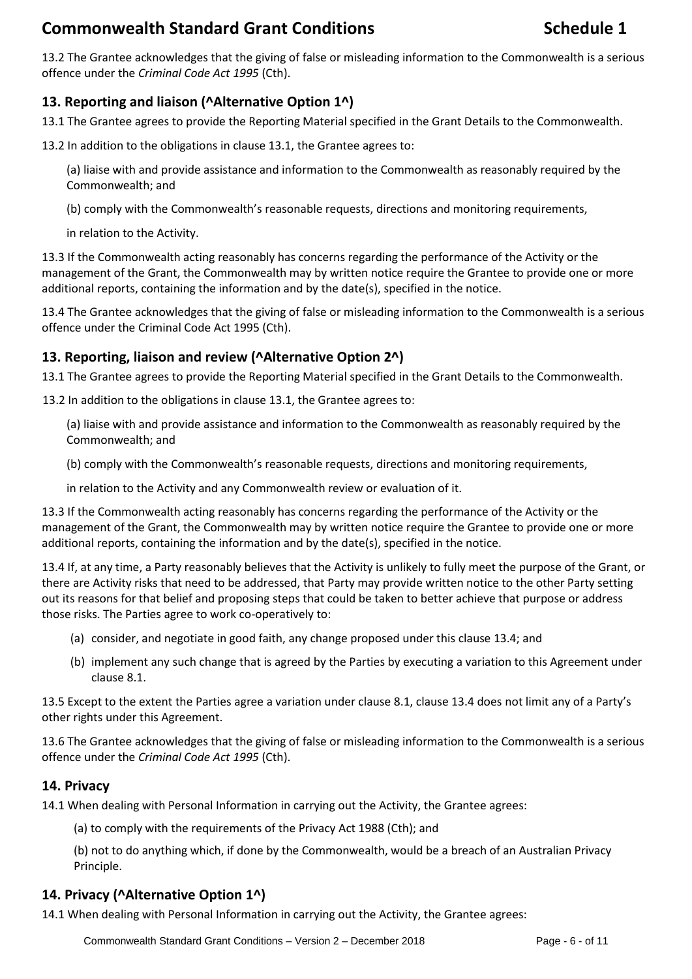13.2 The Grantee acknowledges that the giving of false or misleading information to the Commonwealth is a serious offence under the *Criminal Code Act 1995* (Cth).

## **13. Reporting and liaison (^Alternative Option 1^)**

13.1 The Grantee agrees to provide the Reporting Material specified in the Grant Details to the Commonwealth.

13.2 In addition to the obligations in clause 13.1, the Grantee agrees to:

(a) liaise with and provide assistance and information to the Commonwealth as reasonably required by the Commonwealth; and

(b) comply with the Commonwealth's reasonable requests, directions and monitoring requirements,

in relation to the Activity.

13.3 If the Commonwealth acting reasonably has concerns regarding the performance of the Activity or the management of the Grant, the Commonwealth may by written notice require the Grantee to provide one or more additional reports, containing the information and by the date(s), specified in the notice.

13.4 The Grantee acknowledges that the giving of false or misleading information to the Commonwealth is a serious offence under the Criminal Code Act 1995 (Cth).

## **13. Reporting, liaison and review (^Alternative Option 2^)**

13.1 The Grantee agrees to provide the Reporting Material specified in the Grant Details to the Commonwealth.

13.2 In addition to the obligations in clause 13.1, the Grantee agrees to:

(a) liaise with and provide assistance and information to the Commonwealth as reasonably required by the Commonwealth; and

(b) comply with the Commonwealth's reasonable requests, directions and monitoring requirements,

in relation to the Activity and any Commonwealth review or evaluation of it.

13.3 If the Commonwealth acting reasonably has concerns regarding the performance of the Activity or the management of the Grant, the Commonwealth may by written notice require the Grantee to provide one or more additional reports, containing the information and by the date(s), specified in the notice.

13.4 If, at any time, a Party reasonably believes that the Activity is unlikely to fully meet the purpose of the Grant, or there are Activity risks that need to be addressed, that Party may provide written notice to the other Party setting out its reasons for that belief and proposing steps that could be taken to better achieve that purpose or address those risks. The Parties agree to work co-operatively to:

- (a) consider, and negotiate in good faith, any change proposed under this clause 13.4; and
- (b) implement any such change that is agreed by the Parties by executing a variation to this Agreement under clause 8.1.

13.5 Except to the extent the Parties agree a variation under clause 8.1, clause 13.4 does not limit any of a Party's other rights under this Agreement.

13.6 The Grantee acknowledges that the giving of false or misleading information to the Commonwealth is a serious offence under the *Criminal Code Act 1995* (Cth).

#### **14. Privacy**

14.1 When dealing with Personal Information in carrying out the Activity, the Grantee agrees:

(a) to comply with the requirements of the Privacy Act 1988 (Cth); and

(b) not to do anything which, if done by the Commonwealth, would be a breach of an Australian Privacy Principle.

## **14. Privacy (^Alternative Option 1^)**

14.1 When dealing with Personal Information in carrying out the Activity, the Grantee agrees: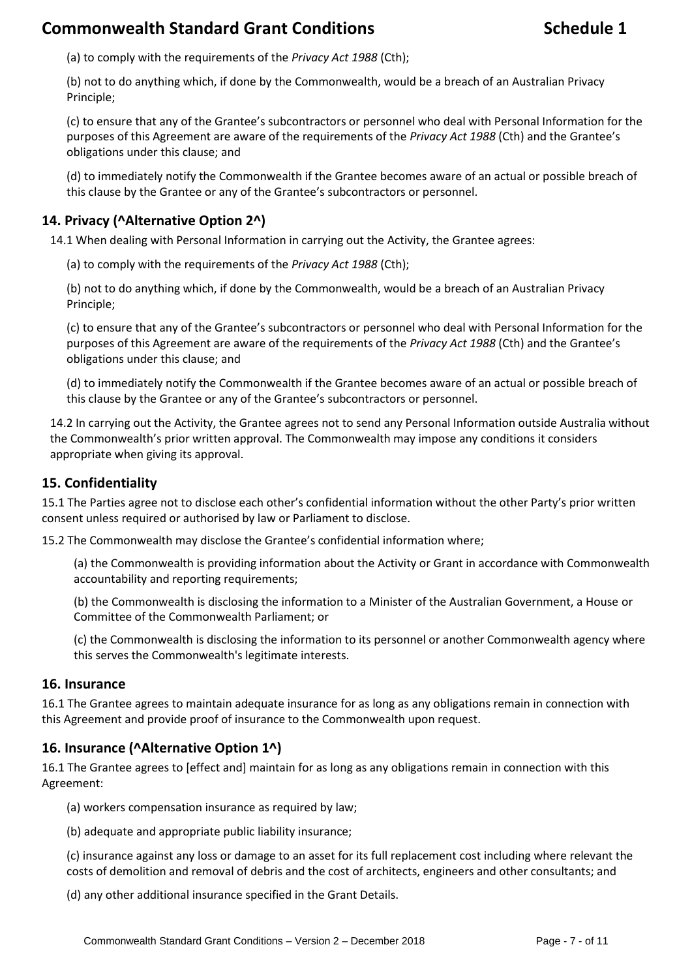(a) to comply with the requirements of the *Privacy Act 1988* (Cth);

(b) not to do anything which, if done by the Commonwealth, would be a breach of an Australian Privacy Principle;

(c) to ensure that any of the Grantee's subcontractors or personnel who deal with Personal Information for the purposes of this Agreement are aware of the requirements of the *Privacy Act 1988* (Cth) and the Grantee's obligations under this clause; and

(d) to immediately notify the Commonwealth if the Grantee becomes aware of an actual or possible breach of this clause by the Grantee or any of the Grantee's subcontractors or personnel.

#### **14. Privacy (^Alternative Option 2^)**

14.1 When dealing with Personal Information in carrying out the Activity, the Grantee agrees:

(a) to comply with the requirements of the *Privacy Act 1988* (Cth);

(b) not to do anything which, if done by the Commonwealth, would be a breach of an Australian Privacy Principle;

(c) to ensure that any of the Grantee's subcontractors or personnel who deal with Personal Information for the purposes of this Agreement are aware of the requirements of the *Privacy Act 1988* (Cth) and the Grantee's obligations under this clause; and

(d) to immediately notify the Commonwealth if the Grantee becomes aware of an actual or possible breach of this clause by the Grantee or any of the Grantee's subcontractors or personnel.

14.2 In carrying out the Activity, the Grantee agrees not to send any Personal Information outside Australia without the Commonwealth's prior written approval. The Commonwealth may impose any conditions it considers appropriate when giving its approval.

#### **15. Confidentiality**

15.1 The Parties agree not to disclose each other's confidential information without the other Party's prior written consent unless required or authorised by law or Parliament to disclose.

15.2 The Commonwealth may disclose the Grantee's confidential information where;

(a) the Commonwealth is providing information about the Activity or Grant in accordance with Commonwealth accountability and reporting requirements;

(b) the Commonwealth is disclosing the information to a Minister of the Australian Government, a House or Committee of the Commonwealth Parliament; or

(c) the Commonwealth is disclosing the information to its personnel or another Commonwealth agency where this serves the Commonwealth's legitimate interests.

#### **16. Insurance**

16.1 The Grantee agrees to maintain adequate insurance for as long as any obligations remain in connection with this Agreement and provide proof of insurance to the Commonwealth upon request.

#### **16. Insurance (^Alternative Option 1^)**

16.1 The Grantee agrees to [effect and] maintain for as long as any obligations remain in connection with this Agreement:

- (a) workers compensation insurance as required by law;
- (b) adequate and appropriate public liability insurance;

(c) insurance against any loss or damage to an asset for its full replacement cost including where relevant the costs of demolition and removal of debris and the cost of architects, engineers and other consultants; and

(d) any other additional insurance specified in the Grant Details.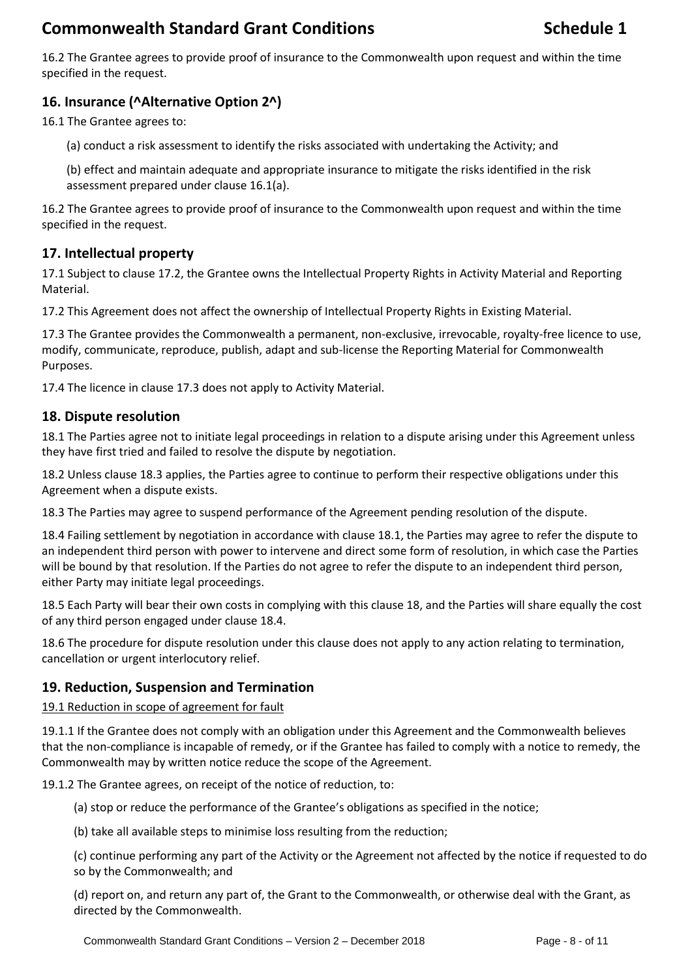16.2 The Grantee agrees to provide proof of insurance to the Commonwealth upon request and within the time specified in the request.

# **16. Insurance (^Alternative Option 2^)**

16.1 The Grantee agrees to:

(a) conduct a risk assessment to identify the risks associated with undertaking the Activity; and

(b) effect and maintain adequate and appropriate insurance to mitigate the risks identified in the risk assessment prepared under clause 16.1(a).

16.2 The Grantee agrees to provide proof of insurance to the Commonwealth upon request and within the time specified in the request.

## **17. Intellectual property**

17.1 Subject to clause 17.2, the Grantee owns the Intellectual Property Rights in Activity Material and Reporting Material.

17.2 This Agreement does not affect the ownership of Intellectual Property Rights in Existing Material.

17.3 The Grantee provides the Commonwealth a permanent, non-exclusive, irrevocable, royalty-free licence to use, modify, communicate, reproduce, publish, adapt and sub-license the Reporting Material for Commonwealth Purposes.

17.4 The licence in clause 17.3 does not apply to Activity Material.

#### **18. Dispute resolution**

18.1 The Parties agree not to initiate legal proceedings in relation to a dispute arising under this Agreement unless they have first tried and failed to resolve the dispute by negotiation.

18.2 Unless clause 18.3 applies, the Parties agree to continue to perform their respective obligations under this Agreement when a dispute exists.

18.3 The Parties may agree to suspend performance of the Agreement pending resolution of the dispute.

18.4 Failing settlement by negotiation in accordance with clause 18.1, the Parties may agree to refer the dispute to an independent third person with power to intervene and direct some form of resolution, in which case the Parties will be bound by that resolution. If the Parties do not agree to refer the dispute to an independent third person, either Party may initiate legal proceedings.

18.5 Each Party will bear their own costs in complying with this clause 18, and the Parties will share equally the cost of any third person engaged under clause 18.4.

18.6 The procedure for dispute resolution under this clause does not apply to any action relating to termination, cancellation or urgent interlocutory relief.

#### **19. Reduction, Suspension and Termination**

19.1 Reduction in scope of agreement for fault

19.1.1 If the Grantee does not comply with an obligation under this Agreement and the Commonwealth believes that the non-compliance is incapable of remedy, or if the Grantee has failed to comply with a notice to remedy, the Commonwealth may by written notice reduce the scope of the Agreement.

19.1.2 The Grantee agrees, on receipt of the notice of reduction, to:

(a) stop or reduce the performance of the Grantee's obligations as specified in the notice;

(b) take all available steps to minimise loss resulting from the reduction;

(c) continue performing any part of the Activity or the Agreement not affected by the notice if requested to do so by the Commonwealth; and

(d) report on, and return any part of, the Grant to the Commonwealth, or otherwise deal with the Grant, as directed by the Commonwealth.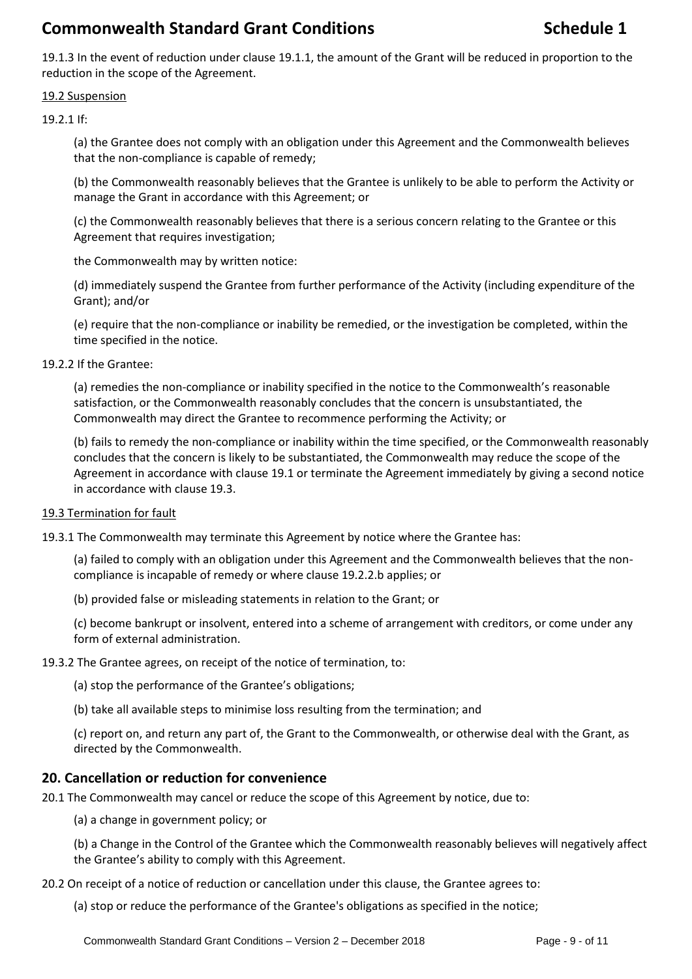19.1.3 In the event of reduction under clause 19.1.1, the amount of the Grant will be reduced in proportion to the reduction in the scope of the Agreement.

#### 19.2 Suspension

19.2.1 If:

(a) the Grantee does not comply with an obligation under this Agreement and the Commonwealth believes that the non-compliance is capable of remedy;

(b) the Commonwealth reasonably believes that the Grantee is unlikely to be able to perform the Activity or manage the Grant in accordance with this Agreement; or

(c) the Commonwealth reasonably believes that there is a serious concern relating to the Grantee or this Agreement that requires investigation;

the Commonwealth may by written notice:

(d) immediately suspend the Grantee from further performance of the Activity (including expenditure of the Grant); and/or

(e) require that the non-compliance or inability be remedied, or the investigation be completed, within the time specified in the notice.

19.2.2 If the Grantee:

(a) remedies the non-compliance or inability specified in the notice to the Commonwealth's reasonable satisfaction, or the Commonwealth reasonably concludes that the concern is unsubstantiated, the Commonwealth may direct the Grantee to recommence performing the Activity; or

(b) fails to remedy the non-compliance or inability within the time specified, or the Commonwealth reasonably concludes that the concern is likely to be substantiated, the Commonwealth may reduce the scope of the Agreement in accordance with clause 19.1 or terminate the Agreement immediately by giving a second notice in accordance with clause 19.3.

#### 19.3 Termination for fault

19.3.1 The Commonwealth may terminate this Agreement by notice where the Grantee has:

(a) failed to comply with an obligation under this Agreement and the Commonwealth believes that the noncompliance is incapable of remedy or where clause 19.2.2.b applies; or

(b) provided false or misleading statements in relation to the Grant; or

(c) become bankrupt or insolvent, entered into a scheme of arrangement with creditors, or come under any form of external administration.

19.3.2 The Grantee agrees, on receipt of the notice of termination, to:

(a) stop the performance of the Grantee's obligations;

(b) take all available steps to minimise loss resulting from the termination; and

(c) report on, and return any part of, the Grant to the Commonwealth, or otherwise deal with the Grant, as directed by the Commonwealth.

#### **20. Cancellation or reduction for convenience**

20.1 The Commonwealth may cancel or reduce the scope of this Agreement by notice, due to:

(a) a change in government policy; or

(b) a Change in the Control of the Grantee which the Commonwealth reasonably believes will negatively affect the Grantee's ability to comply with this Agreement.

20.2 On receipt of a notice of reduction or cancellation under this clause, the Grantee agrees to:

(a) stop or reduce the performance of the Grantee's obligations as specified in the notice;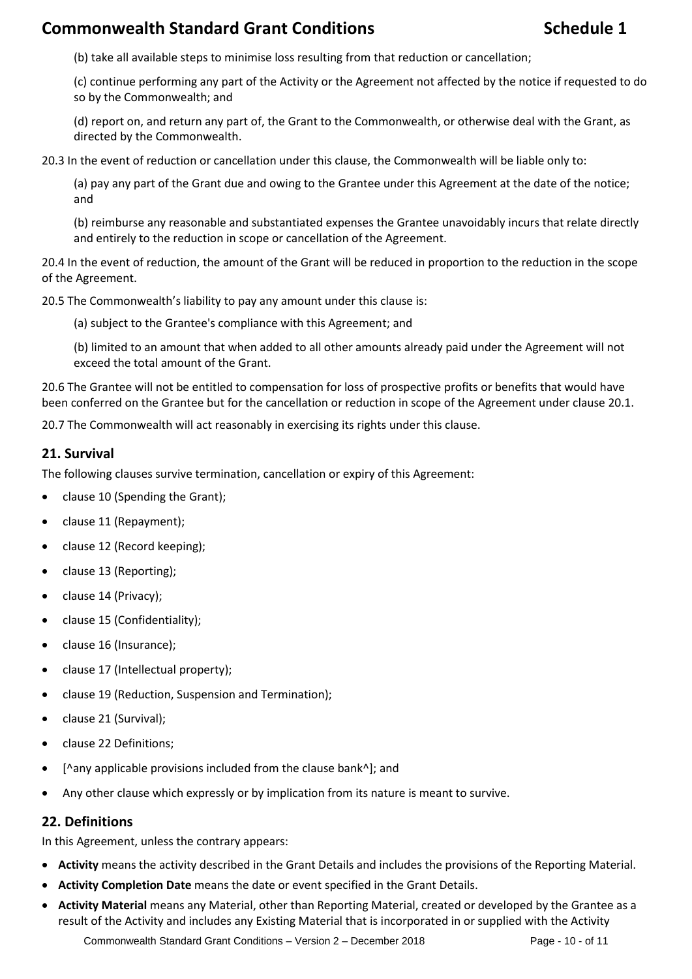(b) take all available steps to minimise loss resulting from that reduction or cancellation;

(c) continue performing any part of the Activity or the Agreement not affected by the notice if requested to do so by the Commonwealth; and

(d) report on, and return any part of, the Grant to the Commonwealth, or otherwise deal with the Grant, as directed by the Commonwealth.

20.3 In the event of reduction or cancellation under this clause, the Commonwealth will be liable only to:

(a) pay any part of the Grant due and owing to the Grantee under this Agreement at the date of the notice; and

(b) reimburse any reasonable and substantiated expenses the Grantee unavoidably incurs that relate directly and entirely to the reduction in scope or cancellation of the Agreement.

20.4 In the event of reduction, the amount of the Grant will be reduced in proportion to the reduction in the scope of the Agreement.

20.5 The Commonwealth's liability to pay any amount under this clause is:

(a) subject to the Grantee's compliance with this Agreement; and

(b) limited to an amount that when added to all other amounts already paid under the Agreement will not exceed the total amount of the Grant.

20.6 The Grantee will not be entitled to compensation for loss of prospective profits or benefits that would have been conferred on the Grantee but for the cancellation or reduction in scope of the Agreement under clause 20.1.

20.7 The Commonwealth will act reasonably in exercising its rights under this clause.

#### **21. Survival**

The following clauses survive termination, cancellation or expiry of this Agreement:

- clause 10 (Spending the Grant);
- clause 11 (Repayment);
- clause 12 (Record keeping);
- clause 13 (Reporting);
- clause 14 (Privacy);
- clause 15 (Confidentiality);
- clause 16 (Insurance);
- clause 17 (Intellectual property);
- clause 19 (Reduction, Suspension and Termination);
- clause 21 (Survival);
- clause 22 Definitions;
- [^any applicable provisions included from the clause bank^]; and
- Any other clause which expressly or by implication from its nature is meant to survive.

### **22. Definitions**

In this Agreement, unless the contrary appears:

- **Activity** means the activity described in the Grant Details and includes the provisions of the Reporting Material.
- **Activity Completion Date** means the date or event specified in the Grant Details.
- **Activity Material** means any Material, other than Reporting Material, created or developed by the Grantee as a result of the Activity and includes any Existing Material that is incorporated in or supplied with the Activity

Commonwealth Standard Grant Conditions – Version 2 – December 2018 Page - 10 - of 11